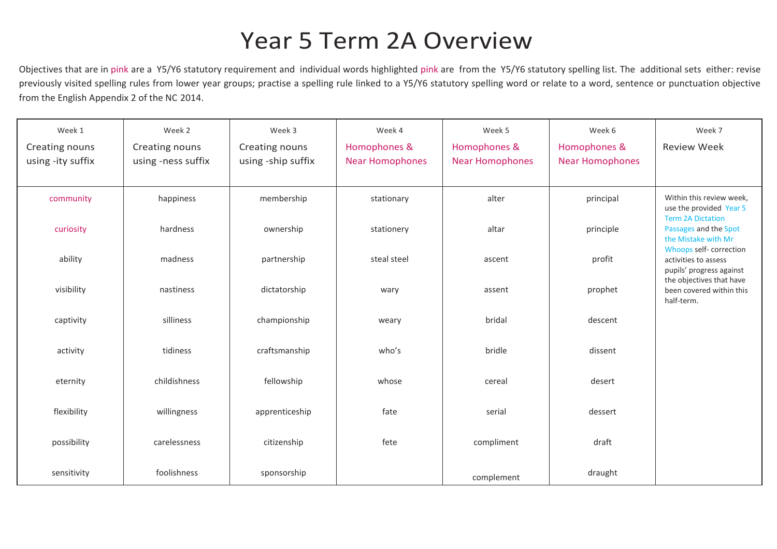## Year 5 Term 2A Overview

Objectives that are in pink are a Y5/Y6 statutory requirement and individual words highlighted pink are from the Y5/Y6 statutory spelling list. The additional sets either: revise previously visited spelling rules from lower year groups; practise a spelling rule linked to a Y5/Y6 statutory spelling word or relate to a word, sentence or punctuation objective from the English Appendix 2 of the NC 2014.

| Week 1            | Week 2             | Week 3             | Week 4                 | Week 5                 | Week 6                 | Week 7                                                                          |
|-------------------|--------------------|--------------------|------------------------|------------------------|------------------------|---------------------------------------------------------------------------------|
| Creating nouns    | Creating nouns     | Creating nouns     | Homophones &           | Homophones &           | Homophones &           | <b>Review Week</b>                                                              |
| using -ity suffix | using -ness suffix | using -ship suffix | <b>Near Homophones</b> | <b>Near Homophones</b> | <b>Near Homophones</b> |                                                                                 |
|                   |                    |                    |                        |                        |                        |                                                                                 |
| community         | happiness          | membership         | stationary             | alter                  | principal              | Within this review week,<br>use the provided Year 5<br><b>Term 2A Dictation</b> |
| curiosity         | hardness           | ownership          | stationery             | altar                  | principle              | Passages and the Spot<br>the Mistake with Mr                                    |
| ability           | madness            | partnership        | steal steel            | ascent                 | profit                 | Whoops self-correction<br>activities to assess<br>pupils' progress against      |
| visibility        | nastiness          | dictatorship       | wary                   | assent                 | prophet                | the objectives that have<br>been covered within this<br>half-term.              |
| captivity         | silliness          | championship       | weary                  | bridal                 | descent                |                                                                                 |
| activity          | tidiness           | craftsmanship      | who's                  | bridle                 | dissent                |                                                                                 |
| eternity          | childishness       | fellowship         | whose                  | cereal                 | desert                 |                                                                                 |
| flexibility       | willingness        | apprenticeship     | fate                   | serial                 | dessert                |                                                                                 |
| possibility       | carelessness       | citizenship        | fete                   | compliment             | draft                  |                                                                                 |
| sensitivity       | foolishness        | sponsorship        |                        | complement             | draught                |                                                                                 |